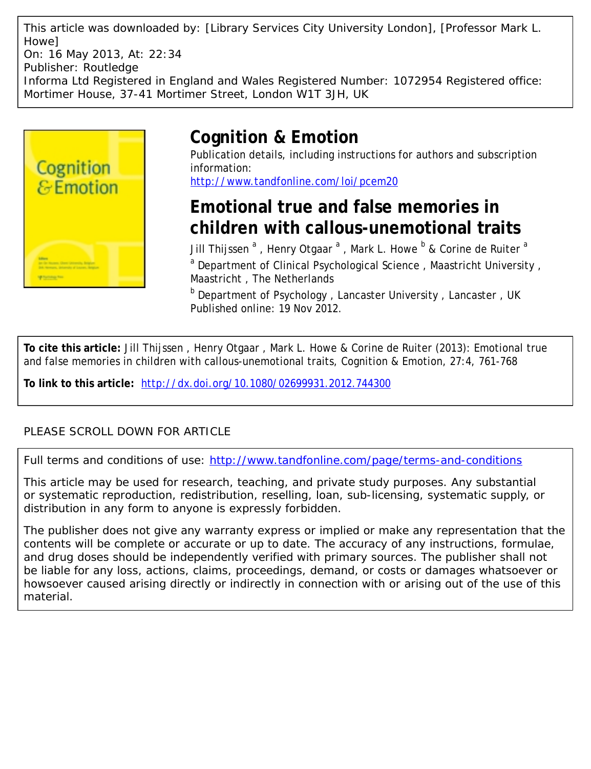This article was downloaded by: [Library Services City University London], [Professor Mark L. Howe] On: 16 May 2013, At: 22:34 Publisher: Routledge

Informa Ltd Registered in England and Wales Registered Number: 1072954 Registered office: Mortimer House, 37-41 Mortimer Street, London W1T 3JH, UK



# **Cognition & Emotion**

Publication details, including instructions for authors and subscription information:

<http://www.tandfonline.com/loi/pcem20>

# **Emotional true and false memories in children with callous-unemotional traits**

Jill Thijssen  $^{\rm a}$  , Henry Otgaar  $^{\rm a}$  , Mark L. Howe  $^{\rm b}$  & Corine de Ruiter  $^{\rm a}$ <sup>a</sup> Department of Clinical Psychological Science, Maastricht University, Maastricht , The Netherlands

<sup>b</sup> Department of Psychology, Lancaster University, Lancaster, UK Published online: 19 Nov 2012.

**To cite this article:** Jill Thijssen , Henry Otgaar , Mark L. Howe & Corine de Ruiter (2013): Emotional true and false memories in children with callous-unemotional traits, Cognition & Emotion, 27:4, 761-768

**To link to this article:** <http://dx.doi.org/10.1080/02699931.2012.744300>

## PLEASE SCROLL DOWN FOR ARTICLE

Full terms and conditions of use:<http://www.tandfonline.com/page/terms-and-conditions>

This article may be used for research, teaching, and private study purposes. Any substantial or systematic reproduction, redistribution, reselling, loan, sub-licensing, systematic supply, or distribution in any form to anyone is expressly forbidden.

The publisher does not give any warranty express or implied or make any representation that the contents will be complete or accurate or up to date. The accuracy of any instructions, formulae, and drug doses should be independently verified with primary sources. The publisher shall not be liable for any loss, actions, claims, proceedings, demand, or costs or damages whatsoever or howsoever caused arising directly or indirectly in connection with or arising out of the use of this material.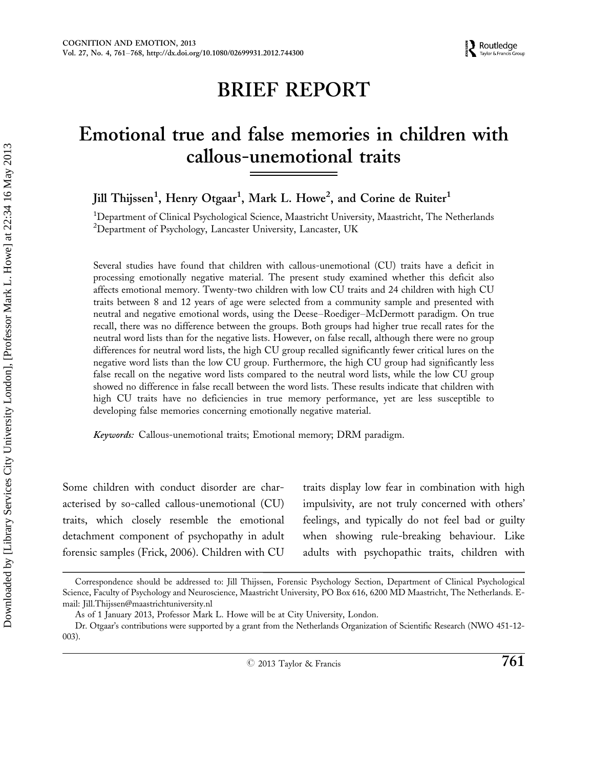# BRIEF REPORT

# Emotional true and false memories in children with callous-unemotional traits

Jill Thijssen<sup>1</sup>, Henry Otgaar<sup>1</sup>, Mark L. Howe<sup>2</sup>, and Corine de Ruiter<sup>1</sup>

<sup>1</sup>Department of Clinical Psychological Science, Maastricht University, Maastricht, The Netherlands <sup>2</sup>Department of Psychology, Lancaster University, Lancaster, UK

Several studies have found that children with callous-unemotional (CU) traits have a deficit in processing emotionally negative material. The present study examined whether this deficit also affects emotional memory. Twenty-two children with low CU traits and 24 children with high CU traits between 8 and 12 years of age were selected from a community sample and presented with neutral and negative emotional words, using the Deese-Roediger-McDermott paradigm. On true recall, there was no difference between the groups. Both groups had higher true recall rates for the neutral word lists than for the negative lists. However, on false recall, although there were no group differences for neutral word lists, the high CU group recalled significantly fewer critical lures on the negative word lists than the low CU group. Furthermore, the high CU group had significantly less false recall on the negative word lists compared to the neutral word lists, while the low CU group showed no difference in false recall between the word lists. These results indicate that children with high CU traits have no deficiencies in true memory performance, yet are less susceptible to developing false memories concerning emotionally negative material.

Keywords: Callous-unemotional traits; Emotional memory; DRM paradigm.

Some children with conduct disorder are characterised by so-called callous-unemotional (CU) traits, which closely resemble the emotional detachment component of psychopathy in adult forensic samples (Frick, 2006). Children with CU traits display low fear in combination with high impulsivity, are not truly concerned with others' feelings, and typically do not feel bad or guilty when showing rule-breaking behaviour. Like adults with psychopathic traits, children with

Correspondence should be addressed to: Jill Thijssen, Forensic Psychology Section, Department of Clinical Psychological Science, Faculty of Psychology and Neuroscience, Maastricht University, PO Box 616, 6200 MD Maastricht, The Netherlands. Email: Jill.Thijssen@maastrichtuniversity.nl

As of 1 January 2013, Professor Mark L. Howe will be at City University, London.

Dr. Otgaar's contributions were supported by a grant from the Netherlands Organization of Scientific Research (NWO 451-12- 003).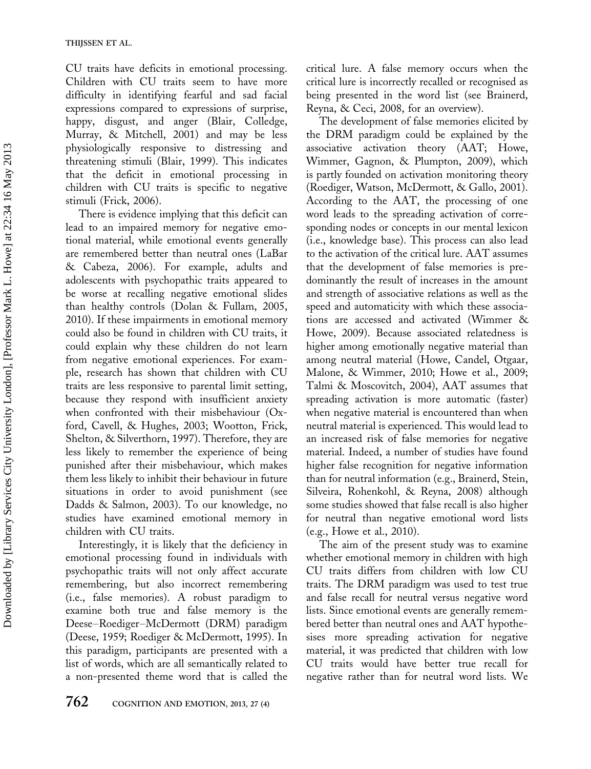CU traits have deficits in emotional processing. Children with CU traits seem to have more difficulty in identifying fearful and sad facial expressions compared to expressions of surprise, happy, disgust, and anger (Blair, Colledge, Murray, & Mitchell, 2001) and may be less physiologically responsive to distressing and threatening stimuli (Blair, 1999). This indicates that the deficit in emotional processing in children with CU traits is specific to negative stimuli (Frick, 2006).

There is evidence implying that this deficit can lead to an impaired memory for negative emotional material, while emotional events generally are remembered better than neutral ones (LaBar & Cabeza, 2006). For example, adults and adolescents with psychopathic traits appeared to be worse at recalling negative emotional slides than healthy controls (Dolan & Fullam, 2005, 2010). If these impairments in emotional memory could also be found in children with CU traits, it could explain why these children do not learn from negative emotional experiences. For example, research has shown that children with CU traits are less responsive to parental limit setting, because they respond with insufficient anxiety when confronted with their misbehaviour (Oxford, Cavell, & Hughes, 2003; Wootton, Frick, Shelton, & Silverthorn, 1997). Therefore, they are less likely to remember the experience of being punished after their misbehaviour, which makes them less likely to inhibit their behaviour in future situations in order to avoid punishment (see Dadds & Salmon, 2003). To our knowledge, no studies have examined emotional memory in children with CU traits.

Interestingly, it is likely that the deficiency in emotional processing found in individuals with psychopathic traits will not only affect accurate remembering, but also incorrect remembering (i.e., false memories). A robust paradigm to examine both true and false memory is the Deese-Roediger-McDermott (DRM) paradigm (Deese, 1959; Roediger & McDermott, 1995). In this paradigm, participants are presented with a list of words, which are all semantically related to a non-presented theme word that is called the

critical lure. A false memory occurs when the critical lure is incorrectly recalled or recognised as being presented in the word list (see Brainerd, Reyna, & Ceci, 2008, for an overview).

The development of false memories elicited by the DRM paradigm could be explained by the associative activation theory (AAT; Howe, Wimmer, Gagnon, & Plumpton, 2009), which is partly founded on activation monitoring theory (Roediger, Watson, McDermott, & Gallo, 2001). According to the AAT, the processing of one word leads to the spreading activation of corresponding nodes or concepts in our mental lexicon (i.e., knowledge base). This process can also lead to the activation of the critical lure. AAT assumes that the development of false memories is predominantly the result of increases in the amount and strength of associative relations as well as the speed and automaticity with which these associations are accessed and activated (Wimmer & Howe, 2009). Because associated relatedness is higher among emotionally negative material than among neutral material (Howe, Candel, Otgaar, Malone, & Wimmer, 2010; Howe et al., 2009; Talmi & Moscovitch, 2004), AAT assumes that spreading activation is more automatic (faster) when negative material is encountered than when neutral material is experienced. This would lead to an increased risk of false memories for negative material. Indeed, a number of studies have found higher false recognition for negative information than for neutral information (e.g., Brainerd, Stein, Silveira, Rohenkohl, & Reyna, 2008) although some studies showed that false recall is also higher for neutral than negative emotional word lists (e.g., Howe et al., 2010).

The aim of the present study was to examine whether emotional memory in children with high CU traits differs from children with low CU traits. The DRM paradigm was used to test true and false recall for neutral versus negative word lists. Since emotional events are generally remembered better than neutral ones and AAT hypothesises more spreading activation for negative material, it was predicted that children with low CU traits would have better true recall for negative rather than for neutral word lists. We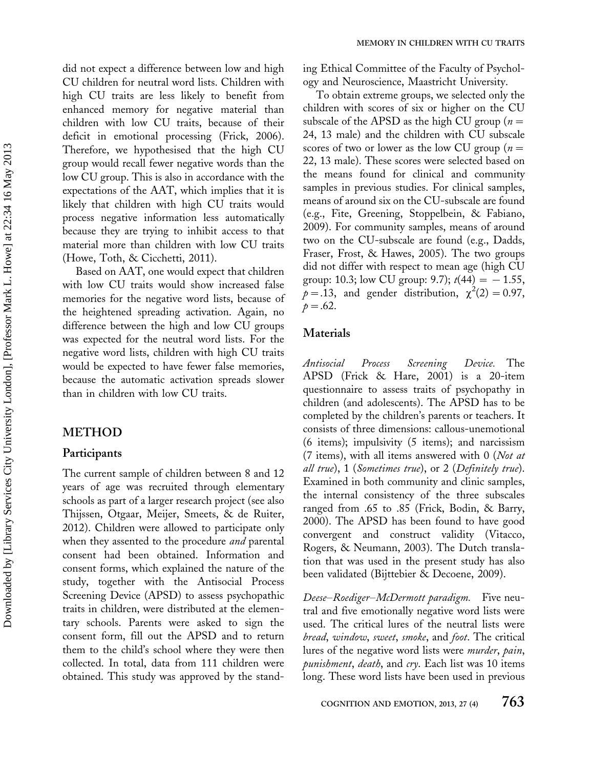did not expect a difference between low and high CU children for neutral word lists. Children with high CU traits are less likely to benefit from enhanced memory for negative material than children with low CU traits, because of their deficit in emotional processing (Frick, 2006). Therefore, we hypothesised that the high CU group would recall fewer negative words than the low CU group. This is also in accordance with the expectations of the AAT, which implies that it is likely that children with high CU traits would process negative information less automatically because they are trying to inhibit access to that material more than children with low CU traits (Howe, Toth, & Cicchetti, 2011).

Based on AAT, one would expect that children with low CU traits would show increased false memories for the negative word lists, because of the heightened spreading activation. Again, no difference between the high and low CU groups was expected for the neutral word lists. For the negative word lists, children with high CU traits would be expected to have fewer false memories, because the automatic activation spreads slower than in children with low CU traits.

### METHOD

#### Participants

The current sample of children between 8 and 12 years of age was recruited through elementary schools as part of a larger research project (see also Thijssen, Otgaar, Meijer, Smeets, & de Ruiter, 2012). Children were allowed to participate only when they assented to the procedure *and* parental consent had been obtained. Information and consent forms, which explained the nature of the study, together with the Antisocial Process Screening Device (APSD) to assess psychopathic traits in children, were distributed at the elementary schools. Parents were asked to sign the consent form, fill out the APSD and to return them to the child's school where they were then collected. In total, data from 111 children were obtained. This study was approved by the standing Ethical Committee of the Faculty of Psychology and Neuroscience, Maastricht University.

To obtain extreme groups, we selected only the children with scores of six or higher on the CU subscale of the APSD as the high CU group ( $n=$ 24, 13 male) and the children with CU subscale scores of two or lower as the low CU group ( $n=$ 22, 13 male). These scores were selected based on the means found for clinical and community samples in previous studies. For clinical samples, means of around six on the CU-subscale are found (e.g., Fite, Greening, Stoppelbein, & Fabiano, 2009). For community samples, means of around two on the CU-subscale are found (e.g., Dadds, Fraser, Frost, & Hawes, 2005). The two groups did not differ with respect to mean age (high CU group: 10.3; low CU group: 9.7);  $t(44) = -1.55$ ,  $\tilde{p} = .13$ , and gender distribution,  $\chi^2(2) = 0.97$ ,  $p = .62$ .

#### Materials

Antisocial Process Screening Device. The APSD (Frick & Hare, 2001) is a 20-item questionnaire to assess traits of psychopathy in children (and adolescents). The APSD has to be completed by the children's parents or teachers. It consists of three dimensions: callous-unemotional (6 items); impulsivity (5 items); and narcissism (7 items), with all items answered with 0 (Not at all true), 1 (Sometimes true), or 2 (Definitely true). Examined in both community and clinic samples, the internal consistency of the three subscales ranged from .65 to .85 (Frick, Bodin, & Barry, 2000). The APSD has been found to have good convergent and construct validity (Vitacco, Rogers, & Neumann, 2003). The Dutch translation that was used in the present study has also been validated (Bijttebier & Decoene, 2009).

Deese-Roediger-McDermott paradigm. Five neutral and five emotionally negative word lists were used. The critical lures of the neutral lists were bread, window, sweet, smoke, and foot. The critical lures of the negative word lists were murder, pain, punishment, death, and cry. Each list was 10 items long. These word lists have been used in previous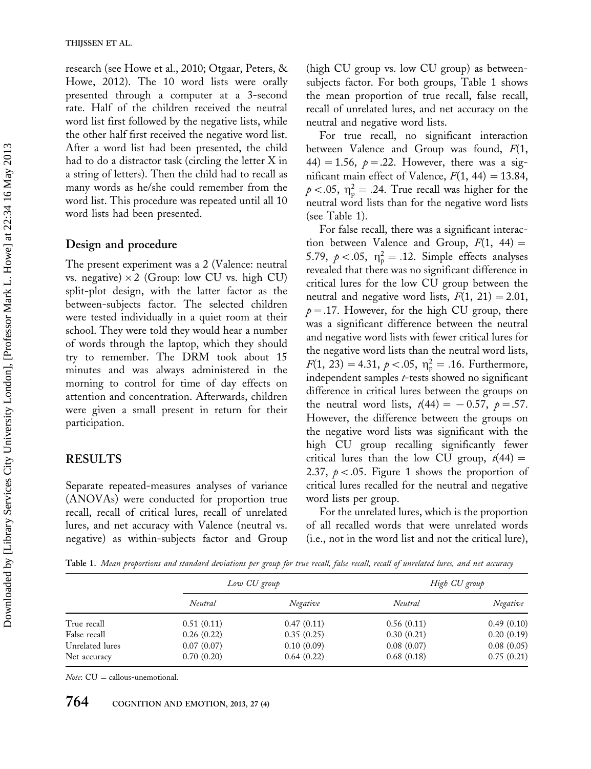research (see Howe et al., 2010; Otgaar, Peters, & Howe, 2012). The 10 word lists were orally presented through a computer at a 3-second rate. Half of the children received the neutral word list first followed by the negative lists, while the other half first received the negative word list. After a word list had been presented, the child had to do a distractor task (circling the letter X in a string of letters). Then the child had to recall as many words as he/she could remember from the word list. This procedure was repeated until all 10 word lists had been presented.

### Design and procedure

The present experiment was a 2 (Valence: neutral vs. negative)  $\times$  2 (Group: low CU vs. high CU) split-plot design, with the latter factor as the between-subjects factor. The selected children were tested individually in a quiet room at their school. They were told they would hear a number of words through the laptop, which they should try to remember. The DRM took about 15 minutes and was always administered in the morning to control for time of day effects on attention and concentration. Afterwards, children were given a small present in return for their participation.

## RESULTS

Separate repeated-measures analyses of variance (ANOVAs) were conducted for proportion true recall, recall of critical lures, recall of unrelated lures, and net accuracy with Valence (neutral vs. negative) as within-subjects factor and Group

(high CU group vs. low CU group) as betweensubjects factor. For both groups, Table 1 shows the mean proportion of true recall, false recall, recall of unrelated lures, and net accuracy on the neutral and negative word lists.

For true recall, no significant interaction between Valence and Group was found, F(1, 44) = 1.56,  $p = 0.22$ . However, there was a significant main effect of Valence,  $F(1, 44) = 13.84$ ,  $p < .05$ ,  $\eta_{\rm p}^2 = .24$ . True recall was higher for the neutral word lists than for the negative word lists (see Table 1).

For false recall, there was a significant interaction between Valence and Group,  $F(1, 44) =$ 5.79,  $p < .05$ ,  $\eta_p^2 = .12$ . Simple effects analyses revealed that there was no significant difference in critical lures for the low CU group between the neutral and negative word lists,  $F(1, 21) = 2.01$ ,  $p = 0.17$ . However, for the high CU group, there was a significant difference between the neutral and negative word lists with fewer critical lures for the negative word lists than the neutral word lists,  $F(1, 23) = 4.31, p < .05, \eta_{\rm p}^2 = .16.$  Furthermore, independent samples t-tests showed no significant difference in critical lures between the groups on the neutral word lists,  $t(44) = -0.57$ ,  $p = 0.57$ . However, the difference between the groups on the negative word lists was significant with the high CU group recalling significantly fewer critical lures than the low CU group,  $t(44) =$ 2.37,  $p < 0.05$ . Figure 1 shows the proportion of critical lures recalled for the neutral and negative word lists per group.

For the unrelated lures, which is the proportion of all recalled words that were unrelated words (i.e., not in the word list and not the critical lure),

Table 1. Mean proportions and standard deviations per group for true recall, false recall, recall of unrelated lures, and net accuracy

|                 | Low CU group |            | High CU group |            |
|-----------------|--------------|------------|---------------|------------|
|                 | Neutral      | Negative   | Neutral       | Negative   |
| True recall     | 0.51(0.11)   | 0.47(0.11) | 0.56(0.11)    | 0.49(0.10) |
| False recall    | 0.26(0.22)   | 0.35(0.25) | 0.30(0.21)    | 0.20(0.19) |
| Unrelated lures | 0.07(0.07)   | 0.10(0.09) | 0.08(0.07)    | 0.08(0.05) |
| Net accuracy    | 0.70(0.20)   | 0.64(0.22) | 0.68(0.18)    | 0.75(0.21) |

 $Note: CU =$  callous-unemotional.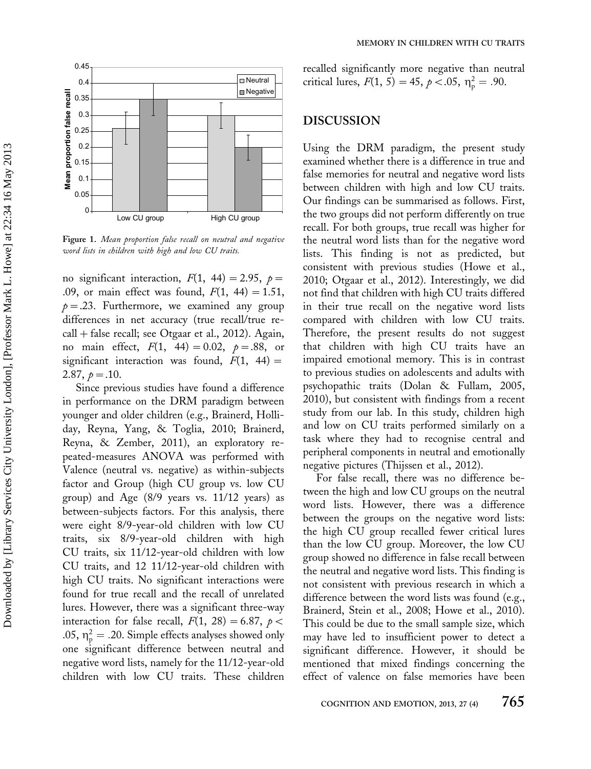

Figure 1. Mean proportion false recall on neutral and negative word lists in children with high and low CU traits.

no significant interaction,  $F(1, 44) = 2.95$ ,  $p =$ .09, or main effect was found,  $F(1, 44) = 1.51$ ,  $p = 0.23$ . Furthermore, we examined any group differences in net accuracy (true recall/true re $call + false$  recall; see Otgaar et al., 2012). Again, no main effect,  $F(1, 44) = 0.02, p = .88$ , or significant interaction was found,  $F(1, 44) =$  $2.87, p = .10.$ 

Since previous studies have found a difference in performance on the DRM paradigm between younger and older children (e.g., Brainerd, Holliday, Reyna, Yang, & Toglia, 2010; Brainerd, Reyna, & Zember, 2011), an exploratory repeated-measures ANOVA was performed with Valence (neutral vs. negative) as within-subjects factor and Group (high CU group vs. low CU group) and Age (8/9 years vs. 11/12 years) as between-subjects factors. For this analysis, there were eight 8/9-year-old children with low CU traits, six 8/9-year-old children with high CU traits, six 11/12-year-old children with low CU traits, and 12 11/12-year-old children with high CU traits. No significant interactions were found for true recall and the recall of unrelated lures. However, there was a significant three-way interaction for false recall,  $F(1, 28) = 6.87$ ,  $p <$ .05,  $\eta_{\rm p}^2 =$  .20. Simple effects analyses showed only one significant difference between neutral and negative word lists, namely for the 11/12-year-old children with low CU traits. These children

recalled significantly more negative than neutral critical lures,  $F(1, 5) = 45$ ,  $p < .05$ ,  $\eta_{p}^{2} = .90$ .

### DISCUSSION

Using the DRM paradigm, the present study examined whether there is a difference in true and false memories for neutral and negative word lists between children with high and low CU traits. Our findings can be summarised as follows. First, the two groups did not perform differently on true recall. For both groups, true recall was higher for the neutral word lists than for the negative word lists. This finding is not as predicted, but consistent with previous studies (Howe et al., 2010; Otgaar et al., 2012). Interestingly, we did not find that children with high CU traits differed in their true recall on the negative word lists compared with children with low CU traits. Therefore, the present results do not suggest that children with high CU traits have an impaired emotional memory. This is in contrast to previous studies on adolescents and adults with psychopathic traits (Dolan & Fullam, 2005, 2010), but consistent with findings from a recent study from our lab. In this study, children high and low on CU traits performed similarly on a task where they had to recognise central and peripheral components in neutral and emotionally negative pictures (Thijssen et al., 2012).

For false recall, there was no difference between the high and low CU groups on the neutral word lists. However, there was a difference between the groups on the negative word lists: the high CU group recalled fewer critical lures than the low CU group. Moreover, the low CU group showed no difference in false recall between the neutral and negative word lists. This finding is not consistent with previous research in which a difference between the word lists was found (e.g., Brainerd, Stein et al., 2008; Howe et al., 2010). This could be due to the small sample size, which may have led to insufficient power to detect a significant difference. However, it should be mentioned that mixed findings concerning the effect of valence on false memories have been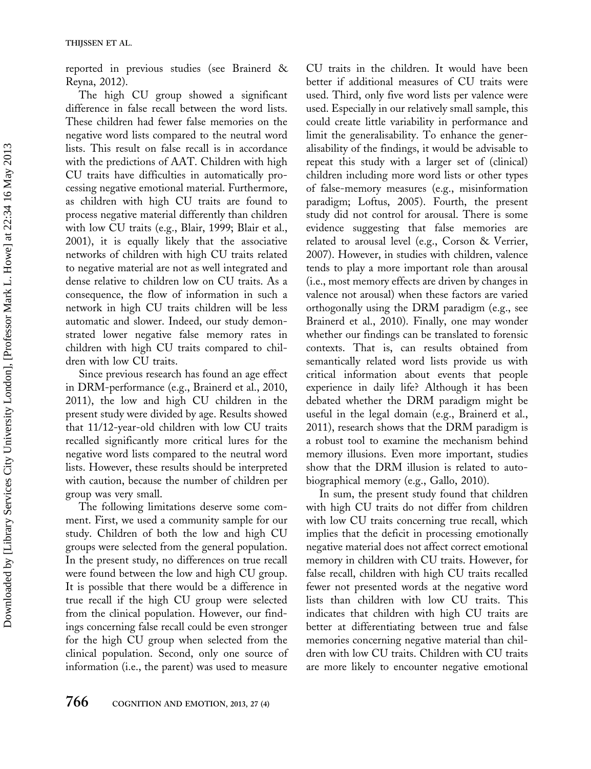reported in previous studies (see Brainerd & Reyna, 2012).

The high CU group showed a significant difference in false recall between the word lists. These children had fewer false memories on the negative word lists compared to the neutral word lists. This result on false recall is in accordance with the predictions of AAT. Children with high CU traits have difficulties in automatically processing negative emotional material. Furthermore, as children with high CU traits are found to process negative material differently than children with low CU traits (e.g., Blair, 1999; Blair et al., 2001), it is equally likely that the associative networks of children with high CU traits related to negative material are not as well integrated and dense relative to children low on CU traits. As a consequence, the flow of information in such a network in high CU traits children will be less automatic and slower. Indeed, our study demonstrated lower negative false memory rates in children with high CU traits compared to children with low CU traits.

Since previous research has found an age effect in DRM-performance (e.g., Brainerd et al., 2010, 2011), the low and high CU children in the present study were divided by age. Results showed that 11/12-year-old children with low CU traits recalled significantly more critical lures for the negative word lists compared to the neutral word lists. However, these results should be interpreted with caution, because the number of children per group was very small.

The following limitations deserve some comment. First, we used a community sample for our study. Children of both the low and high CU groups were selected from the general population. In the present study, no differences on true recall were found between the low and high CU group. It is possible that there would be a difference in true recall if the high CU group were selected from the clinical population. However, our findings concerning false recall could be even stronger for the high CU group when selected from the clinical population. Second, only one source of information (i.e., the parent) was used to measure

CU traits in the children. It would have been better if additional measures of CU traits were used. Third, only five word lists per valence were used. Especially in our relatively small sample, this could create little variability in performance and limit the generalisability. To enhance the generalisability of the findings, it would be advisable to repeat this study with a larger set of (clinical) children including more word lists or other types of false-memory measures (e.g., misinformation paradigm; Loftus, 2005). Fourth, the present study did not control for arousal. There is some evidence suggesting that false memories are related to arousal level (e.g., Corson & Verrier, 2007). However, in studies with children, valence tends to play a more important role than arousal (i.e., most memory effects are driven by changes in valence not arousal) when these factors are varied orthogonally using the DRM paradigm (e.g., see Brainerd et al., 2010). Finally, one may wonder whether our findings can be translated to forensic contexts. That is, can results obtained from semantically related word lists provide us with critical information about events that people experience in daily life? Although it has been debated whether the DRM paradigm might be useful in the legal domain (e.g., Brainerd et al., 2011), research shows that the DRM paradigm is a robust tool to examine the mechanism behind memory illusions. Even more important, studies show that the DRM illusion is related to autobiographical memory (e.g., Gallo, 2010).

In sum, the present study found that children with high CU traits do not differ from children with low CU traits concerning true recall, which implies that the deficit in processing emotionally negative material does not affect correct emotional memory in children with CU traits. However, for false recall, children with high CU traits recalled fewer not presented words at the negative word lists than children with low CU traits. This indicates that children with high CU traits are better at differentiating between true and false memories concerning negative material than children with low CU traits. Children with CU traits are more likely to encounter negative emotional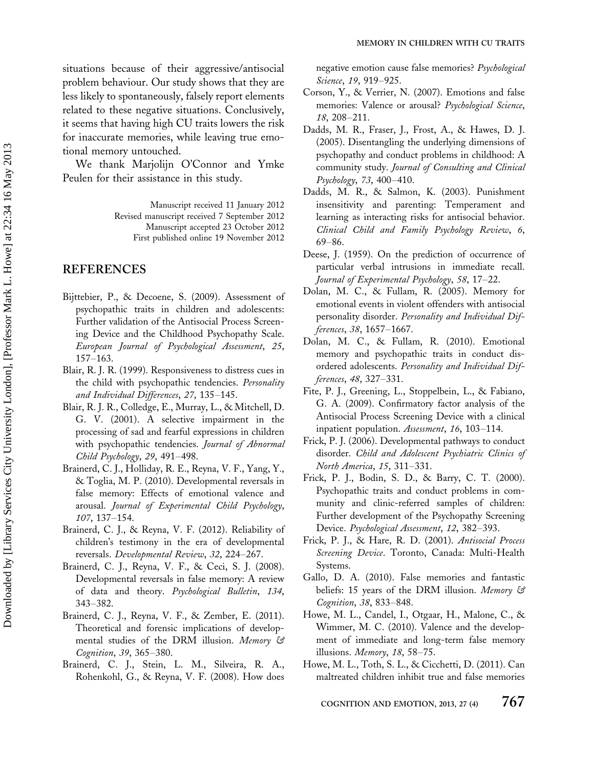situations because of their aggressive/antisocial problem behaviour. Our study shows that they are less likely to spontaneously, falsely report elements related to these negative situations. Conclusively, it seems that having high CU traits lowers the risk for inaccurate memories, while leaving true emotional memory untouched.

We thank Marjolijn O'Connor and Ymke Peulen for their assistance in this study.

Manuscript received 11 January 2012

Revised manuscript received 7 September 2012

Manuscript accepted 23 October 2012

First published online 19 November 2012

### REFERENCES

- Bijttebier, P., & Decoene, S. (2009). Assessment of psychopathic traits in children and adolescents: Further validation of the Antisocial Process Screening Device and the Childhood Psychopathy Scale. European Journal of Psychological Assessment, 25,  $157 - 163$ .
- Blair, R. J. R. (1999). Responsiveness to distress cues in the child with psychopathic tendencies. Personality and Individual Differences, 27, 135-145.
- Blair, R. J. R., Colledge, E., Murray, L., & Mitchell, D. G. V. (2001). A selective impairment in the processing of sad and fearful expressions in children with psychopathic tendencies. Journal of Abnormal Child Psychology, 29, 491-498.
- Brainerd, C. J., Holliday, R. E., Reyna, V. F., Yang, Y., & Toglia, M. P. (2010). Developmental reversals in false memory: Effects of emotional valence and arousal. Journal of Experimental Child Psychology, 107, 137-154.
- Brainerd, C. J., & Reyna, V. F. (2012). Reliability of children's testimony in the era of developmental reversals. Developmental Review, 32, 224-267.
- Brainerd, C. J., Reyna, V. F., & Ceci, S. J. (2008). Developmental reversals in false memory: A review of data and theory. Psychological Bulletin, 134,  $343 - 382.$
- Brainerd, C. J., Reyna, V. F., & Zember, E. (2011). Theoretical and forensic implications of developmental studies of the DRM illusion. Memory & Cognition, 39, 365-380.
- Brainerd, C. J., Stein, L. M., Silveira, R. A., Rohenkohl, G., & Reyna, V. F. (2008). How does

negative emotion cause false memories? Psychological Science, 19, 919-925.

- Corson, Y., & Verrier, N. (2007). Emotions and false memories: Valence or arousal? Psychological Science, 18, 208-211.
- Dadds, M. R., Fraser, J., Frost, A., & Hawes, D. J. (2005). Disentangling the underlying dimensions of psychopathy and conduct problems in childhood: A community study. Journal of Consulting and Clinical Psychology, 73, 400-410.
- Dadds, M. R., & Salmon, K. (2003). Punishment insensitivity and parenting: Temperament and learning as interacting risks for antisocial behavior. Clinical Child and Family Psychology Review, 6,  $69 - 86.$
- Deese, J. (1959). On the prediction of occurrence of particular verbal intrusions in immediate recall. Journal of Experimental Psychology, 58, 17–22.
- Dolan, M. C., & Fullam, R. (2005). Memory for emotional events in violent offenders with antisocial personality disorder. Personality and Individual Differences, 38, 1657-1667.
- Dolan, M. C., & Fullam, R. (2010). Emotional memory and psychopathic traits in conduct disordered adolescents. Personality and Individual Differences, 48, 327-331.
- Fite, P. J., Greening, L., Stoppelbein, L., & Fabiano, G. A. (2009). Confirmatory factor analysis of the Antisocial Process Screening Device with a clinical inpatient population. Assessment, 16, 103-114.
- Frick, P. J. (2006). Developmental pathways to conduct disorder. Child and Adolescent Psychiatric Clinics of North America, 15, 311-331.
- Frick, P. J., Bodin, S. D., & Barry, C. T. (2000). Psychopathic traits and conduct problems in community and clinic-referred samples of children: Further development of the Psychopathy Screening Device. Psychological Assessment, 12, 382-393.
- Frick, P. J., & Hare, R. D. (2001). Antisocial Process Screening Device. Toronto, Canada: Multi-Health Systems.
- Gallo, D. A. (2010). False memories and fantastic beliefs: 15 years of the DRM illusion. Memory & Cognition, 38, 833-848.
- Howe, M. L., Candel, I., Otgaar, H., Malone, C., & Wimmer, M. C. (2010). Valence and the development of immediate and long-term false memory illusions. Memory,  $18$ ,  $58-75$ .
- Howe, M. L., Toth, S. L., & Cicchetti, D. (2011). Can maltreated children inhibit true and false memories